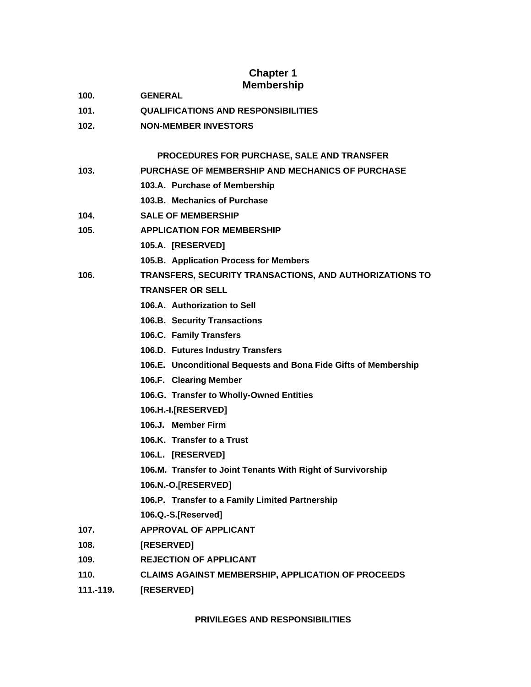# **Chapter 1 Membership**

- **100. GENERAL**
- **101. QUALIFICATIONS AND RESPONSIBILITIES**
- **102. NON-MEMBER INVESTORS**

# **PROCEDURES FOR PURCHASE, SALE AND TRANSFER**

|           | PROCEDURES FOR PURCHASE, SALE AND TRANSFER                      |
|-----------|-----------------------------------------------------------------|
| 103.      | <b>PURCHASE OF MEMBERSHIP AND MECHANICS OF PURCHASE</b>         |
|           | 103.A. Purchase of Membership                                   |
|           | 103.B. Mechanics of Purchase                                    |
| 104.      | <b>SALE OF MEMBERSHIP</b>                                       |
| 105.      | <b>APPLICATION FOR MEMBERSHIP</b>                               |
|           | 105.A. [RESERVED]                                               |
|           | 105.B. Application Process for Members                          |
| 106.      | TRANSFERS, SECURITY TRANSACTIONS, AND AUTHORIZATIONS TO         |
|           | <b>TRANSFER OR SELL</b>                                         |
|           | 106.A. Authorization to Sell                                    |
|           | 106.B. Security Transactions                                    |
|           | 106.C. Family Transfers                                         |
|           | 106.D. Futures Industry Transfers                               |
|           | 106.E. Unconditional Bequests and Bona Fide Gifts of Membership |
|           | 106.F. Clearing Member                                          |
|           | 106.G. Transfer to Wholly-Owned Entities                        |
|           | 106.H.-I.[RESERVED]                                             |
|           | 106.J. Member Firm                                              |
|           | 106.K. Transfer to a Trust                                      |
|           | 106.L. [RESERVED]                                               |
|           | 106.M. Transfer to Joint Tenants With Right of Survivorship     |
|           | 106.N.-O.[RESERVED]                                             |
|           | 106.P. Transfer to a Family Limited Partnership                 |
|           | 106.Q.-S.[Reserved]                                             |
| 107.      | <b>APPROVAL OF APPLICANT</b>                                    |
| 108.      | [RESERVED]                                                      |
| 109.      | <b>REJECTION OF APPLICANT</b>                                   |
| 110.      | <b>CLAIMS AGAINST MEMBERSHIP, APPLICATION OF PROCEEDS</b>       |
| 111.-119. | [RESERVED]                                                      |

**PRIVILEGES AND RESPONSIBILITIES**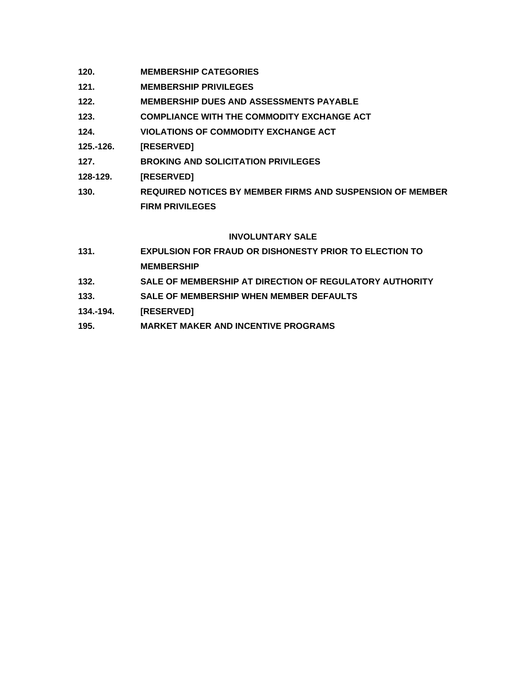- **120. MEMBERSHIP CATEGORIES**
- **121. MEMBERSHIP PRIVILEGES**
- **122. MEMBERSHIP DUES AND ASSESSMENTS PAYABLE**
- **123. COMPLIANCE WITH THE COMMODITY EXCHANGE ACT**
- **124. VIOLATIONS OF COMMODITY EXCHANGE ACT**
- **125.-126. [RESERVED]**
- **127. BROKING AND SOLICITATION PRIVILEGES**
- **128-129. [RESERVED]**
- **130. REQUIRED NOTICES BY MEMBER FIRMS AND SUSPENSION OF MEMBER FIRM PRIVILEGES**

# **INVOLUNTARY SALE**

- **131. EXPULSION FOR FRAUD OR DISHONESTY PRIOR TO ELECTION TO MEMBERSHIP**
- **132. SALE OF MEMBERSHIP AT DIRECTION OF REGULATORY AUTHORITY**
- **133. SALE OF MEMBERSHIP WHEN MEMBER DEFAULTS**
- **134.-194. [RESERVED]**
- **195. MARKET MAKER AND INCENTIVE PROGRAMS**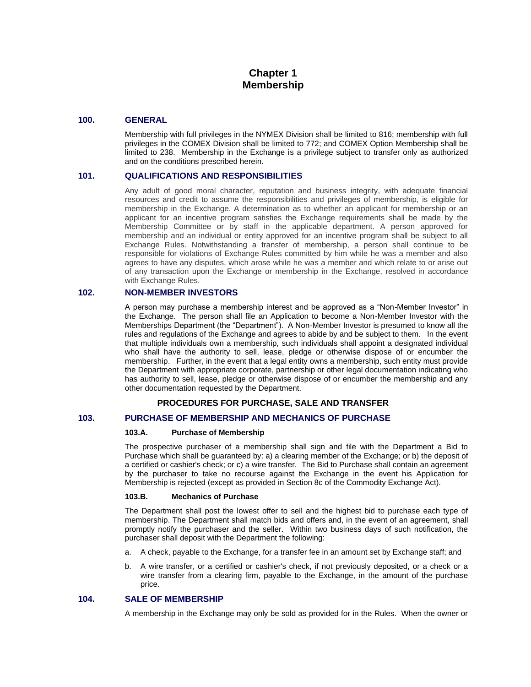# **Chapter 1 Membership**

## **100. GENERAL**

Membership with full privileges in the NYMEX Division shall be limited to 816; membership with full privileges in the COMEX Division shall be limited to 772; and COMEX Option Membership shall be limited to 238. Membership in the Exchange is a privilege subject to transfer only as authorized and on the conditions prescribed herein.

# **101. QUALIFICATIONS AND RESPONSIBILITIES**

Any adult of good moral character, reputation and business integrity, with adequate financial resources and credit to assume the responsibilities and privileges of membership, is eligible for membership in the Exchange. A determination as to whether an applicant for membership or an applicant for an incentive program satisfies the Exchange requirements shall be made by the Membership Committee or by staff in the applicable department. A person approved for membership and an individual or entity approved for an incentive program shall be subject to all Exchange Rules. Notwithstanding a transfer of membership, a person shall continue to be responsible for violations of Exchange Rules committed by him while he was a member and also agrees to have any disputes, which arose while he was a member and which relate to or arise out of any transaction upon the Exchange or membership in the Exchange, resolved in accordance with Exchange Rules.

# **102. NON-MEMBER INVESTORS**

A person may purchase a membership interest and be approved as a "Non-Member Investor" in the Exchange. The person shall file an Application to become a Non-Member Investor with the Memberships Department (the "Department"). A Non-Member Investor is presumed to know all the rules and regulations of the Exchange and agrees to abide by and be subject to them. In the event that multiple individuals own a membership, such individuals shall appoint a designated individual who shall have the authority to sell, lease, pledge or otherwise dispose of or encumber the membership. Further, in the event that a legal entity owns a membership, such entity must provide the Department with appropriate corporate, partnership or other legal documentation indicating who has authority to sell, lease, pledge or otherwise dispose of or encumber the membership and any other documentation requested by the Department.

# **PROCEDURES FOR PURCHASE, SALE AND TRANSFER**

# **103. PURCHASE OF MEMBERSHIP AND MECHANICS OF PURCHASE**

#### **103.A. Purchase of Membership**

The prospective purchaser of a membership shall sign and file with the Department a Bid to Purchase which shall be guaranteed by: a) a clearing member of the Exchange; or b) the deposit of a certified or cashier's check; or c) a wire transfer. The Bid to Purchase shall contain an agreement by the purchaser to take no recourse against the Exchange in the event his Application for Membership is rejected (except as provided in Section 8c of the Commodity Exchange Act).

#### **103.B. Mechanics of Purchase**

The Department shall post the lowest offer to sell and the highest bid to purchase each type of membership. The Department shall match bids and offers and, in the event of an agreement, shall promptly notify the purchaser and the seller. Within two business days of such notification, the purchaser shall deposit with the Department the following:

- a. A check, payable to the Exchange, for a transfer fee in an amount set by Exchange staff; and
- b. A wire transfer, or a certified or cashier's check, if not previously deposited, or a check or a wire transfer from a clearing firm, payable to the Exchange, in the amount of the purchase price.

# **104. SALE OF MEMBERSHIP**

A membership in the Exchange may only be sold as provided for in the Rules. When the owner or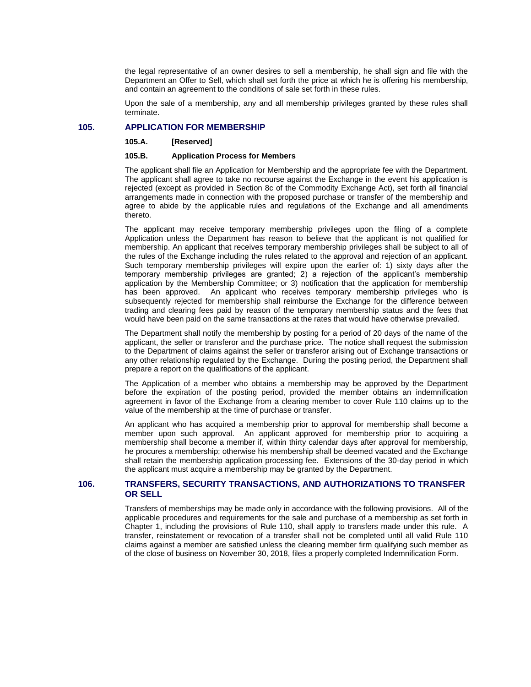the legal representative of an owner desires to sell a membership, he shall sign and file with the Department an Offer to Sell, which shall set forth the price at which he is offering his membership, and contain an agreement to the conditions of sale set forth in these rules.

Upon the sale of a membership, any and all membership privileges granted by these rules shall terminate.

### **105. APPLICATION FOR MEMBERSHIP**

**105.A. [Reserved]**

#### **105.B. Application Process for Members**

The applicant shall file an Application for Membership and the appropriate fee with the Department. The applicant shall agree to take no recourse against the Exchange in the event his application is rejected (except as provided in Section 8c of the Commodity Exchange Act), set forth all financial arrangements made in connection with the proposed purchase or transfer of the membership and agree to abide by the applicable rules and regulations of the Exchange and all amendments thereto.

The applicant may receive temporary membership privileges upon the filing of a complete Application unless the Department has reason to believe that the applicant is not qualified for membership. An applicant that receives temporary membership privileges shall be subject to all of the rules of the Exchange including the rules related to the approval and rejection of an applicant. Such temporary membership privileges will expire upon the earlier of: 1) sixty days after the temporary membership privileges are granted; 2) a rejection of the applicant's membership application by the Membership Committee; or 3) notification that the application for membership has been approved. An applicant who receives temporary membership privileges who is subsequently rejected for membership shall reimburse the Exchange for the difference between trading and clearing fees paid by reason of the temporary membership status and the fees that would have been paid on the same transactions at the rates that would have otherwise prevailed.

The Department shall notify the membership by posting for a period of 20 days of the name of the applicant, the seller or transferor and the purchase price. The notice shall request the submission to the Department of claims against the seller or transferor arising out of Exchange transactions or any other relationship regulated by the Exchange. During the posting period, the Department shall prepare a report on the qualifications of the applicant.

The Application of a member who obtains a membership may be approved by the Department before the expiration of the posting period, provided the member obtains an indemnification agreement in favor of the Exchange from a clearing member to cover Rule 110 claims up to the value of the membership at the time of purchase or transfer.

An applicant who has acquired a membership prior to approval for membership shall become a member upon such approval. An applicant approved for membership prior to acquiring a membership shall become a member if, within thirty calendar days after approval for membership, he procures a membership; otherwise his membership shall be deemed vacated and the Exchange shall retain the membership application processing fee. Extensions of the 30-day period in which the applicant must acquire a membership may be granted by the Department.

# **106. TRANSFERS, SECURITY TRANSACTIONS, AND AUTHORIZATIONS TO TRANSFER OR SELL**

Transfers of memberships may be made only in accordance with the following provisions. All of the applicable procedures and requirements for the sale and purchase of a membership as set forth in Chapter 1, including the provisions of Rule 110, shall apply to transfers made under this rule. A transfer, reinstatement or revocation of a transfer shall not be completed until all valid Rule 110 claims against a member are satisfied unless the clearing member firm qualifying such member as of the close of business on November 30, 2018, files a properly completed Indemnification Form.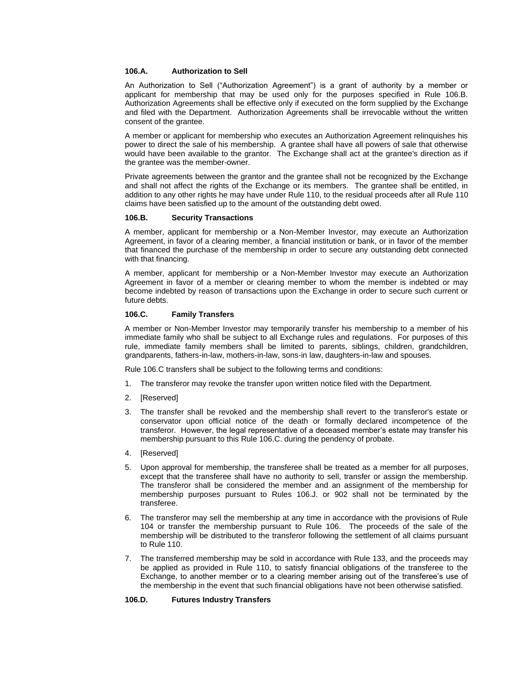### **106.A. Authorization to Sell**

An Authorization to Sell ("Authorization Agreement") is a grant of authority by a member or applicant for membership that may be used only for the purposes specified in Rule 106.B. Authorization Agreements shall be effective only if executed on the form supplied by the Exchange and filed with the Department. Authorization Agreements shall be irrevocable without the written consent of the grantee.

A member or applicant for membership who executes an Authorization Agreement relinquishes his power to direct the sale of his membership. A grantee shall have all powers of sale that otherwise would have been available to the grantor. The Exchange shall act at the grantee's direction as if the grantee was the member-owner.

Private agreements between the grantor and the grantee shall not be recognized by the Exchange and shall not affect the rights of the Exchange or its members. The grantee shall be entitled, in addition to any other rights he may have under Rule 110, to the residual proceeds after all Rule 110 claims have been satisfied up to the amount of the outstanding debt owed.

#### **106.B. Security Transactions**

A member, applicant for membership or a Non-Member Investor, may execute an Authorization Agreement, in favor of a clearing member, a financial institution or bank, or in favor of the member that financed the purchase of the membership in order to secure any outstanding debt connected with that financing.

A member, applicant for membership or a Non-Member Investor may execute an Authorization Agreement in favor of a member or clearing member to whom the member is indebted or may become indebted by reason of transactions upon the Exchange in order to secure such current or future debts.

#### **106.C. Family Transfers**

A member or Non-Member Investor may temporarily transfer his membership to a member of his immediate family who shall be subject to all Exchange rules and regulations. For purposes of this rule, immediate family members shall be limited to parents, siblings, children, grandchildren, grandparents, fathers-in-law, mothers-in-law, sons-in law, daughters-in-law and spouses.

Rule 106.C transfers shall be subject to the following terms and conditions:

- 1. The transferor may revoke the transfer upon written notice filed with the Department.
- 2. [Reserved]
- 3. The transfer shall be revoked and the membership shall revert to the transferor's estate or conservator upon official notice of the death or formally declared incompetence of the transferor. However, the legal representative of a deceased member's estate may transfer his membership pursuant to this Rule 106.C. during the pendency of probate.
- 4. [Reserved]
- 5. Upon approval for membership, the transferee shall be treated as a member for all purposes, except that the transferee shall have no authority to sell, transfer or assign the membership. The transferor shall be considered the member and an assignment of the membership for membership purposes pursuant to Rules 106.J. or 902 shall not be terminated by the transferee.
- 6. The transferor may sell the membership at any time in accordance with the provisions of Rule 104 or transfer the membership pursuant to Rule 106. The proceeds of the sale of the membership will be distributed to the transferor following the settlement of all claims pursuant to Rule 110.
- 7. The transferred membership may be sold in accordance with Rule 133, and the proceeds may be applied as provided in Rule 110, to satisfy financial obligations of the transferee to the Exchange, to another member or to a clearing member arising out of the transferee's use of the membership in the event that such financial obligations have not been otherwise satisfied.

#### **106.D. Futures Industry Transfers**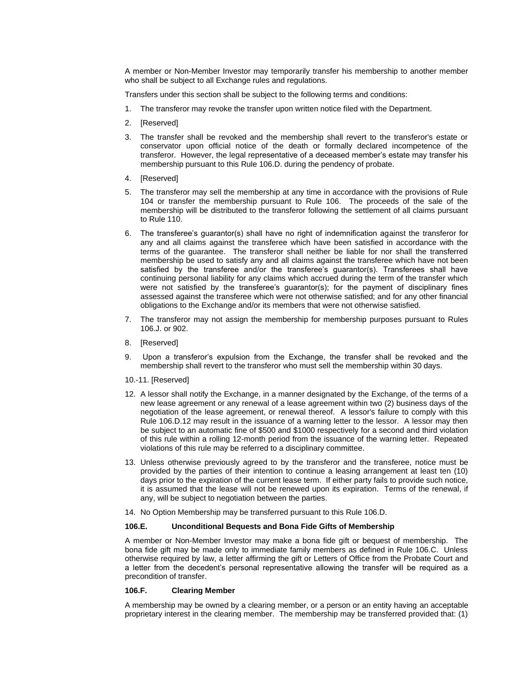A member or Non-Member Investor may temporarily transfer his membership to another member who shall be subject to all Exchange rules and regulations.

Transfers under this section shall be subject to the following terms and conditions:

- 1. The transferor may revoke the transfer upon written notice filed with the Department.
- 2. [Reserved]
- 3. The transfer shall be revoked and the membership shall revert to the transferor's estate or conservator upon official notice of the death or formally declared incompetence of the transferor. However, the legal representative of a deceased member's estate may transfer his membership pursuant to this Rule 106.D. during the pendency of probate.
- 4. [Reserved]
- 5. The transferor may sell the membership at any time in accordance with the provisions of Rule 104 or transfer the membership pursuant to Rule 106. The proceeds of the sale of the membership will be distributed to the transferor following the settlement of all claims pursuant to Rule 110.
- 6. The transferee's guarantor(s) shall have no right of indemnification against the transferor for any and all claims against the transferee which have been satisfied in accordance with the terms of the guarantee. The transferor shall neither be liable for nor shall the transferred membership be used to satisfy any and all claims against the transferee which have not been satisfied by the transferee and/or the transferee's guarantor(s). Transferees shall have continuing personal liability for any claims which accrued during the term of the transfer which were not satisfied by the transferee's guarantor(s); for the payment of disciplinary fines assessed against the transferee which were not otherwise satisfied; and for any other financial obligations to the Exchange and/or its members that were not otherwise satisfied.
- 7. The transferor may not assign the membership for membership purposes pursuant to Rules 106.J. or 902.
- 8. [Reserved]
- 9. Upon a transferor's expulsion from the Exchange, the transfer shall be revoked and the membership shall revert to the transferor who must sell the membership within 30 days.
- 10.-11. [Reserved]
- 12. A lessor shall notify the Exchange, in a manner designated by the Exchange, of the terms of a new lease agreement or any renewal of a lease agreement within two (2) business days of the negotiation of the lease agreement, or renewal thereof. A lessor's failure to comply with this Rule 106.D.12 may result in the issuance of a warning letter to the lessor. A lessor may then be subject to an automatic fine of \$500 and \$1000 respectively for a second and third violation of this rule within a rolling 12-month period from the issuance of the warning letter. Repeated violations of this rule may be referred to a disciplinary committee.
- 13. Unless otherwise previously agreed to by the transferor and the transferee, notice must be provided by the parties of their intention to continue a leasing arrangement at least ten (10) days prior to the expiration of the current lease term. If either party fails to provide such notice, it is assumed that the lease will not be renewed upon its expiration. Terms of the renewal, if any, will be subject to negotiation between the parties.
- 14. No Option Membership may be transferred pursuant to this Rule 106.D.

### **106.E. Unconditional Bequests and Bona Fide Gifts of Membership**

A member or Non-Member Investor may make a bona fide gift or bequest of membership. The bona fide gift may be made only to immediate family members as defined in Rule 106.C. Unless otherwise required by law, a letter affirming the gift or Letters of Office from the Probate Court and a letter from the decedent's personal representative allowing the transfer will be required as a precondition of transfer.

### **106.F. Clearing Member**

A membership may be owned by a clearing member, or a person or an entity having an acceptable proprietary interest in the clearing member. The membership may be transferred provided that: (1)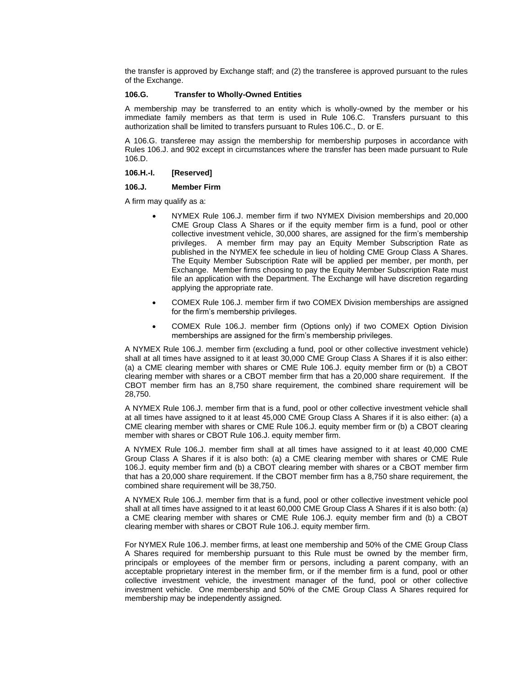the transfer is approved by Exchange staff; and (2) the transferee is approved pursuant to the rules of the Exchange.

#### **106.G. Transfer to Wholly-Owned Entities**

A membership may be transferred to an entity which is wholly-owned by the member or his immediate family members as that term is used in Rule 106.C. Transfers pursuant to this authorization shall be limited to transfers pursuant to Rules 106.C., D. or E.

A 106.G. transferee may assign the membership for membership purposes in accordance with Rules 106.J. and 902 except in circumstances where the transfer has been made pursuant to Rule 106.D.

# **106.H.-I. [Reserved]**

#### **106.J. Member Firm**

A firm may qualify as a:

- NYMEX Rule 106.J. member firm if two NYMEX Division memberships and 20,000 CME Group Class A Shares or if the equity member firm is a fund, pool or other collective investment vehicle, 30,000 shares, are assigned for the firm's membership privileges. A member firm may pay an Equity Member Subscription Rate as published in the NYMEX fee schedule in lieu of holding CME Group Class A Shares. The Equity Member Subscription Rate will be applied per member, per month, per Exchange. Member firms choosing to pay the Equity Member Subscription Rate must file an application with the Department. The Exchange will have discretion regarding applying the appropriate rate.
- COMEX Rule 106.J. member firm if two COMEX Division memberships are assigned for the firm's membership privileges.
- COMEX Rule 106.J. member firm (Options only) if two COMEX Option Division memberships are assigned for the firm's membership privileges.

A NYMEX Rule 106.J. member firm (excluding a fund, pool or other collective investment vehicle) shall at all times have assigned to it at least 30,000 CME Group Class A Shares if it is also either: (a) a CME clearing member with shares or CME Rule 106.J. equity member firm or (b) a CBOT clearing member with shares or a CBOT member firm that has a 20,000 share requirement. If the CBOT member firm has an 8,750 share requirement, the combined share requirement will be 28,750.

A NYMEX Rule 106.J. member firm that is a fund, pool or other collective investment vehicle shall at all times have assigned to it at least 45,000 CME Group Class A Shares if it is also either: (a) a CME clearing member with shares or CME Rule 106.J. equity member firm or (b) a CBOT clearing member with shares or CBOT Rule 106.J. equity member firm.

A NYMEX Rule 106.J. member firm shall at all times have assigned to it at least 40,000 CME Group Class A Shares if it is also both: (a) a CME clearing member with shares or CME Rule 106.J. equity member firm and (b) a CBOT clearing member with shares or a CBOT member firm that has a 20,000 share requirement. If the CBOT member firm has a 8,750 share requirement, the combined share requirement will be 38,750.

A NYMEX Rule 106.J. member firm that is a fund, pool or other collective investment vehicle pool shall at all times have assigned to it at least 60,000 CME Group Class A Shares if it is also both: (a) a CME clearing member with shares or CME Rule 106.J. equity member firm and (b) a CBOT clearing member with shares or CBOT Rule 106.J. equity member firm.

For NYMEX Rule 106.J. member firms, at least one membership and 50% of the CME Group Class A Shares required for membership pursuant to this Rule must be owned by the member firm, principals or employees of the member firm or persons, including a parent company, with an acceptable proprietary interest in the member firm, or if the member firm is a fund, pool or other collective investment vehicle, the investment manager of the fund, pool or other collective investment vehicle. One membership and 50% of the CME Group Class A Shares required for membership may be independently assigned.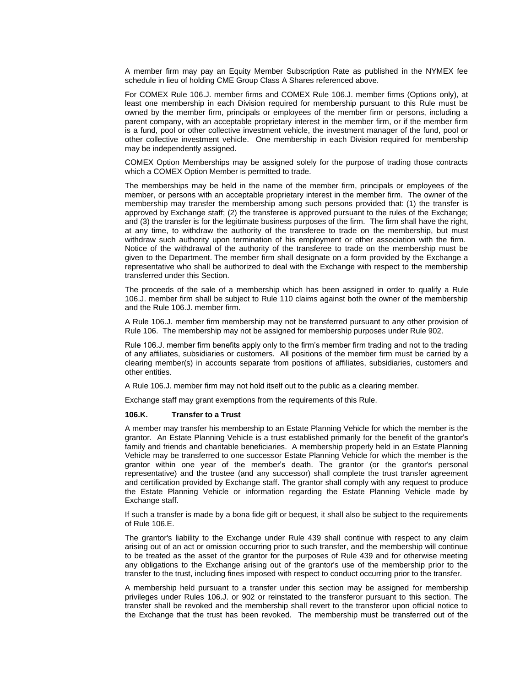A member firm may pay an Equity Member Subscription Rate as published in the NYMEX fee schedule in lieu of holding CME Group Class A Shares referenced above.

For COMEX Rule 106.J. member firms and COMEX Rule 106.J. member firms (Options only), at least one membership in each Division required for membership pursuant to this Rule must be owned by the member firm, principals or employees of the member firm or persons, including a parent company, with an acceptable proprietary interest in the member firm, or if the member firm is a fund, pool or other collective investment vehicle, the investment manager of the fund, pool or other collective investment vehicle. One membership in each Division required for membership may be independently assigned.

COMEX Option Memberships may be assigned solely for the purpose of trading those contracts which a COMEX Option Member is permitted to trade.

The memberships may be held in the name of the member firm, principals or employees of the member, or persons with an acceptable proprietary interest in the member firm. The owner of the membership may transfer the membership among such persons provided that: (1) the transfer is approved by Exchange staff; (2) the transferee is approved pursuant to the rules of the Exchange; and (3) the transfer is for the legitimate business purposes of the firm. The firm shall have the right, at any time, to withdraw the authority of the transferee to trade on the membership, but must withdraw such authority upon termination of his employment or other association with the firm. Notice of the withdrawal of the authority of the transferee to trade on the membership must be given to the Department. The member firm shall designate on a form provided by the Exchange a representative who shall be authorized to deal with the Exchange with respect to the membership transferred under this Section.

The proceeds of the sale of a membership which has been assigned in order to qualify a Rule 106.J. member firm shall be subject to Rule 110 claims against both the owner of the membership and the Rule 106.J. member firm.

A Rule 106.J. member firm membership may not be transferred pursuant to any other provision of Rule 106. The membership may not be assigned for membership purposes under Rule 902.

Rule 106.J. member firm benefits apply only to the firm's member firm trading and not to the trading of any affiliates, subsidiaries or customers. All positions of the member firm must be carried by a clearing member(s) in accounts separate from positions of affiliates, subsidiaries, customers and other entities.

A Rule 106.J. member firm may not hold itself out to the public as a clearing member.

Exchange staff may grant exemptions from the requirements of this Rule.

#### **106.K. Transfer to a Trust**

A member may transfer his membership to an Estate Planning Vehicle for which the member is the grantor. An Estate Planning Vehicle is a trust established primarily for the benefit of the grantor's family and friends and charitable beneficiaries. A membership properly held in an Estate Planning Vehicle may be transferred to one successor Estate Planning Vehicle for which the member is the grantor within one year of the member's death. The grantor (or the grantor's personal representative) and the trustee (and any successor) shall complete the trust transfer agreement and certification provided by Exchange staff. The grantor shall comply with any request to produce the Estate Planning Vehicle or information regarding the Estate Planning Vehicle made by Exchange staff.

If such a transfer is made by a bona fide gift or bequest, it shall also be subject to the requirements of Rule 106.E.

The grantor's liability to the Exchange under Rule 439 shall continue with respect to any claim arising out of an act or omission occurring prior to such transfer, and the membership will continue to be treated as the asset of the grantor for the purposes of Rule 439 and for otherwise meeting any obligations to the Exchange arising out of the grantor's use of the membership prior to the transfer to the trust, including fines imposed with respect to conduct occurring prior to the transfer.

A membership held pursuant to a transfer under this section may be assigned for membership privileges under Rules 106.J. or 902 or reinstated to the transferor pursuant to this section. The transfer shall be revoked and the membership shall revert to the transferor upon official notice to the Exchange that the trust has been revoked. The membership must be transferred out of the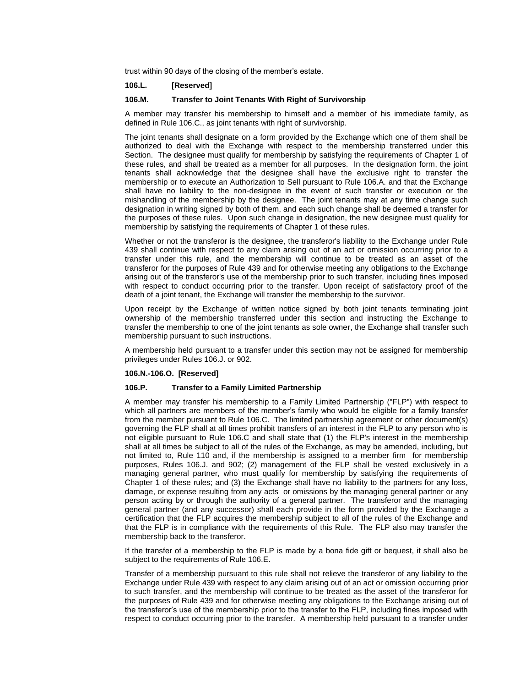trust within 90 days of the closing of the member's estate.

### **106.L. [Reserved]**

## **106.M. Transfer to Joint Tenants With Right of Survivorship**

A member may transfer his membership to himself and a member of his immediate family, as defined in Rule 106.C., as joint tenants with right of survivorship.

The joint tenants shall designate on a form provided by the Exchange which one of them shall be authorized to deal with the Exchange with respect to the membership transferred under this Section. The designee must qualify for membership by satisfying the requirements of Chapter 1 of these rules, and shall be treated as a member for all purposes. In the designation form, the joint tenants shall acknowledge that the designee shall have the exclusive right to transfer the membership or to execute an Authorization to Sell pursuant to Rule 106.A. and that the Exchange shall have no liability to the non-designee in the event of such transfer or execution or the mishandling of the membership by the designee. The joint tenants may at any time change such designation in writing signed by both of them, and each such change shall be deemed a transfer for the purposes of these rules. Upon such change in designation, the new designee must qualify for membership by satisfying the requirements of Chapter 1 of these rules.

Whether or not the transferor is the designee, the transferor's liability to the Exchange under Rule 439 shall continue with respect to any claim arising out of an act or omission occurring prior to a transfer under this rule, and the membership will continue to be treated as an asset of the transferor for the purposes of Rule 439 and for otherwise meeting any obligations to the Exchange arising out of the transferor's use of the membership prior to such transfer, including fines imposed with respect to conduct occurring prior to the transfer. Upon receipt of satisfactory proof of the death of a joint tenant, the Exchange will transfer the membership to the survivor.

Upon receipt by the Exchange of written notice signed by both joint tenants terminating joint ownership of the membership transferred under this section and instructing the Exchange to transfer the membership to one of the joint tenants as sole owner, the Exchange shall transfer such membership pursuant to such instructions.

A membership held pursuant to a transfer under this section may not be assigned for membership privileges under Rules 106.J. or 902.

#### **106.N.-106.O. [Reserved]**

#### **106.P. Transfer to a Family Limited Partnership**

A member may transfer his membership to a Family Limited Partnership ("FLP") with respect to which all partners are members of the member's family who would be eligible for a family transfer from the member pursuant to Rule 106.C. The limited partnership agreement or other document(s) governing the FLP shall at all times prohibit transfers of an interest in the FLP to any person who is not eligible pursuant to Rule 106.C and shall state that (1) the FLP's interest in the membership shall at all times be subject to all of the rules of the Exchange, as may be amended, including, but not limited to, Rule 110 and, if the membership is assigned to a member firm for membership purposes, Rules 106.J. and 902; (2) management of the FLP shall be vested exclusively in a managing general partner, who must qualify for membership by satisfying the requirements of Chapter 1 of these rules; and (3) the Exchange shall have no liability to the partners for any loss, damage, or expense resulting from any acts or omissions by the managing general partner or any person acting by or through the authority of a general partner. The transferor and the managing general partner (and any successor) shall each provide in the form provided by the Exchange a certification that the FLP acquires the membership subject to all of the rules of the Exchange and that the FLP is in compliance with the requirements of this Rule. The FLP also may transfer the membership back to the transferor.

If the transfer of a membership to the FLP is made by a bona fide gift or bequest, it shall also be subject to the requirements of Rule 106.E.

Transfer of a membership pursuant to this rule shall not relieve the transferor of any liability to the Exchange under Rule 439 with respect to any claim arising out of an act or omission occurring prior to such transfer, and the membership will continue to be treated as the asset of the transferor for the purposes of Rule 439 and for otherwise meeting any obligations to the Exchange arising out of the transferor's use of the membership prior to the transfer to the FLP, including fines imposed with respect to conduct occurring prior to the transfer. A membership held pursuant to a transfer under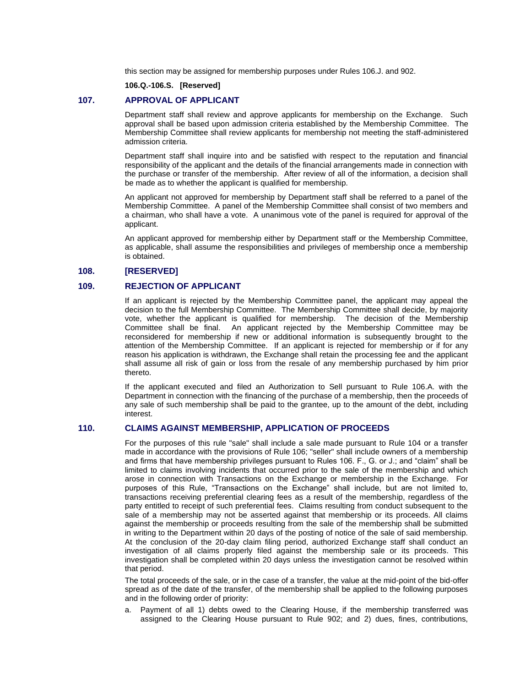this section may be assigned for membership purposes under Rules 106.J. and 902.

**106.Q.-106.S. [Reserved]**

### **107. APPROVAL OF APPLICANT**

Department staff shall review and approve applicants for membership on the Exchange. Such approval shall be based upon admission criteria established by the Membership Committee. The Membership Committee shall review applicants for membership not meeting the staff-administered admission criteria.

Department staff shall inquire into and be satisfied with respect to the reputation and financial responsibility of the applicant and the details of the financial arrangements made in connection with the purchase or transfer of the membership. After review of all of the information, a decision shall be made as to whether the applicant is qualified for membership.

An applicant not approved for membership by Department staff shall be referred to a panel of the Membership Committee. A panel of the Membership Committee shall consist of two members and a chairman, who shall have a vote. A unanimous vote of the panel is required for approval of the applicant.

An applicant approved for membership either by Department staff or the Membership Committee, as applicable, shall assume the responsibilities and privileges of membership once a membership is obtained.

# **108. [RESERVED]**

# **109. REJECTION OF APPLICANT**

If an applicant is rejected by the Membership Committee panel, the applicant may appeal the decision to the full Membership Committee. The Membership Committee shall decide, by majority vote, whether the applicant is qualified for membership. The decision of the Membership Committee shall be final. An applicant rejected by the Membership Committee may be reconsidered for membership if new or additional information is subsequently brought to the attention of the Membership Committee. If an applicant is rejected for membership or if for any reason his application is withdrawn, the Exchange shall retain the processing fee and the applicant shall assume all risk of gain or loss from the resale of any membership purchased by him prior thereto.

If the applicant executed and filed an Authorization to Sell pursuant to Rule 106.A. with the Department in connection with the financing of the purchase of a membership, then the proceeds of any sale of such membership shall be paid to the grantee, up to the amount of the debt, including interest.

### **110. CLAIMS AGAINST MEMBERSHIP, APPLICATION OF PROCEEDS**

For the purposes of this rule "sale" shall include a sale made pursuant to Rule 104 or a transfer made in accordance with the provisions of Rule 106; "seller" shall include owners of a membership and firms that have membership privileges pursuant to Rules 106. F., G. or J.; and "claim" shall be limited to claims involving incidents that occurred prior to the sale of the membership and which arose in connection with Transactions on the Exchange or membership in the Exchange. For purposes of this Rule, "Transactions on the Exchange" shall include, but are not limited to, transactions receiving preferential clearing fees as a result of the membership, regardless of the party entitled to receipt of such preferential fees. Claims resulting from conduct subsequent to the sale of a membership may not be asserted against that membership or its proceeds. All claims against the membership or proceeds resulting from the sale of the membership shall be submitted in writing to the Department within 20 days of the posting of notice of the sale of said membership. At the conclusion of the 20-day claim filing period, authorized Exchange staff shall conduct an investigation of all claims properly filed against the membership sale or its proceeds. This investigation shall be completed within 20 days unless the investigation cannot be resolved within that period.

The total proceeds of the sale, or in the case of a transfer, the value at the mid-point of the bid-offer spread as of the date of the transfer, of the membership shall be applied to the following purposes and in the following order of priority:

a. Payment of all 1) debts owed to the Clearing House, if the membership transferred was assigned to the Clearing House pursuant to Rule 902; and 2) dues, fines, contributions,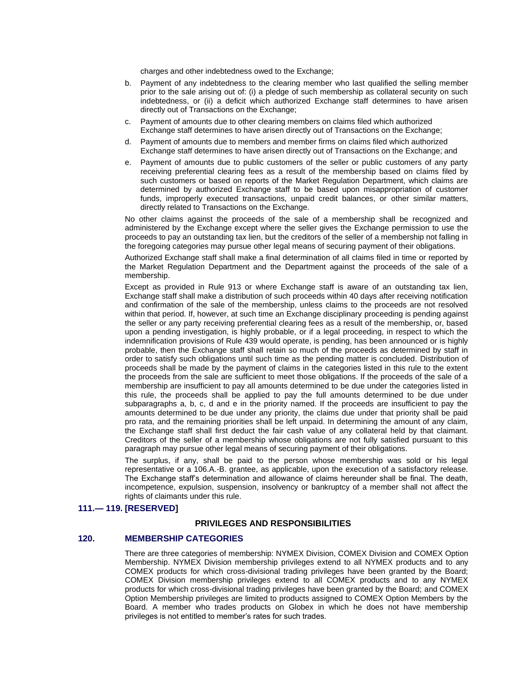charges and other indebtedness owed to the Exchange;

- b. Payment of any indebtedness to the clearing member who last qualified the selling member prior to the sale arising out of: (i) a pledge of such membership as collateral security on such indebtedness, or (ii) a deficit which authorized Exchange staff determines to have arisen directly out of Transactions on the Exchange;
- c. Payment of amounts due to other clearing members on claims filed which authorized Exchange staff determines to have arisen directly out of Transactions on the Exchange;
- d. Payment of amounts due to members and member firms on claims filed which authorized Exchange staff determines to have arisen directly out of Transactions on the Exchange; and
- e. Payment of amounts due to public customers of the seller or public customers of any party receiving preferential clearing fees as a result of the membership based on claims filed by such customers or based on reports of the Market Regulation Department, which claims are determined by authorized Exchange staff to be based upon misappropriation of customer funds, improperly executed transactions, unpaid credit balances, or other similar matters, directly related to Transactions on the Exchange.

No other claims against the proceeds of the sale of a membership shall be recognized and administered by the Exchange except where the seller gives the Exchange permission to use the proceeds to pay an outstanding tax lien, but the creditors of the seller of a membership not falling in the foregoing categories may pursue other legal means of securing payment of their obligations.

Authorized Exchange staff shall make a final determination of all claims filed in time or reported by the Market Regulation Department and the Department against the proceeds of the sale of a membership.

Except as provided in Rule 913 or where Exchange staff is aware of an outstanding tax lien, Exchange staff shall make a distribution of such proceeds within 40 days after receiving notification and confirmation of the sale of the membership, unless claims to the proceeds are not resolved within that period. If, however, at such time an Exchange disciplinary proceeding is pending against the seller or any party receiving preferential clearing fees as a result of the membership, or, based upon a pending investigation, is highly probable, or if a legal proceeding, in respect to which the indemnification provisions of Rule 439 would operate, is pending, has been announced or is highly probable, then the Exchange staff shall retain so much of the proceeds as determined by staff in order to satisfy such obligations until such time as the pending matter is concluded. Distribution of proceeds shall be made by the payment of claims in the categories listed in this rule to the extent the proceeds from the sale are sufficient to meet those obligations. If the proceeds of the sale of a membership are insufficient to pay all amounts determined to be due under the categories listed in this rule, the proceeds shall be applied to pay the full amounts determined to be due under subparagraphs a, b, c, d and e in the priority named. If the proceeds are insufficient to pay the amounts determined to be due under any priority, the claims due under that priority shall be paid pro rata, and the remaining priorities shall be left unpaid. In determining the amount of any claim, the Exchange staff shall first deduct the fair cash value of any collateral held by that claimant. Creditors of the seller of a membership whose obligations are not fully satisfied pursuant to this paragraph may pursue other legal means of securing payment of their obligations.

The surplus, if any, shall be paid to the person whose membership was sold or his legal representative or a 106.A.-B. grantee, as applicable, upon the execution of a satisfactory release. The Exchange staff's determination and allowance of claims hereunder shall be final. The death, incompetence, expulsion, suspension, insolvency or bankruptcy of a member shall not affect the rights of claimants under this rule.

# **111.— 119. [RESERVED]**

### **PRIVILEGES AND RESPONSIBILITIES**

## **120. MEMBERSHIP CATEGORIES**

There are three categories of membership: NYMEX Division, COMEX Division and COMEX Option Membership. NYMEX Division membership privileges extend to all NYMEX products and to any COMEX products for which cross-divisional trading privileges have been granted by the Board; COMEX Division membership privileges extend to all COMEX products and to any NYMEX products for which cross-divisional trading privileges have been granted by the Board; and COMEX Option Membership privileges are limited to products assigned to COMEX Option Members by the Board. A member who trades products on Globex in which he does not have membership privileges is not entitled to member's rates for such trades.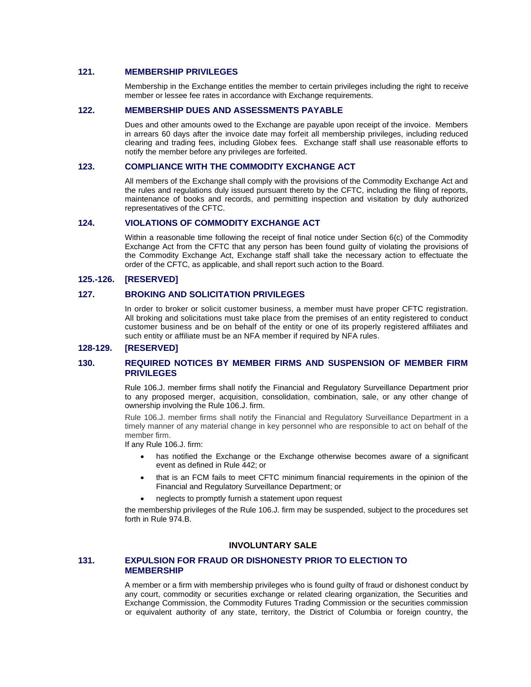# **121. MEMBERSHIP PRIVILEGES**

Membership in the Exchange entitles the member to certain privileges including the right to receive member or lessee fee rates in accordance with Exchange requirements.

# **122. MEMBERSHIP DUES AND ASSESSMENTS PAYABLE**

Dues and other amounts owed to the Exchange are payable upon receipt of the invoice. Members in arrears 60 days after the invoice date may forfeit all membership privileges, including reduced clearing and trading fees, including Globex fees. Exchange staff shall use reasonable efforts to notify the member before any privileges are forfeited.

# **123. COMPLIANCE WITH THE COMMODITY EXCHANGE ACT**

All members of the Exchange shall comply with the provisions of the Commodity Exchange Act and the rules and regulations duly issued pursuant thereto by the CFTC, including the filing of reports, maintenance of books and records, and permitting inspection and visitation by duly authorized representatives of the CFTC.

# **124. VIOLATIONS OF COMMODITY EXCHANGE ACT**

Within a reasonable time following the receipt of final notice under Section 6(c) of the Commodity Exchange Act from the CFTC that any person has been found guilty of violating the provisions of the Commodity Exchange Act, Exchange staff shall take the necessary action to effectuate the order of the CFTC, as applicable, and shall report such action to the Board.

# **125.-126. [RESERVED]**

# **127. BROKING AND SOLICITATION PRIVILEGES**

In order to broker or solicit customer business, a member must have proper CFTC registration. All broking and solicitations must take place from the premises of an entity registered to conduct customer business and be on behalf of the entity or one of its properly registered affiliates and such entity or affiliate must be an NFA member if required by NFA rules.

# **128-129. [RESERVED]**

# **130. REQUIRED NOTICES BY MEMBER FIRMS AND SUSPENSION OF MEMBER FIRM PRIVILEGES**

Rule 106.J. member firms shall notify the Financial and Regulatory Surveillance Department prior to any proposed merger, acquisition, consolidation, combination, sale, or any other change of ownership involving the Rule 106.J. firm.

Rule 106.J. member firms shall notify the Financial and Regulatory Surveillance Department in a timely manner of any material change in key personnel who are responsible to act on behalf of the member firm.

If any Rule 106.J. firm:

- has notified the Exchange or the Exchange otherwise becomes aware of a significant event as defined in Rule 442; or
- that is an FCM fails to meet CFTC minimum financial requirements in the opinion of the Financial and Regulatory Surveillance Department; or
- neglects to promptly furnish a statement upon request

the membership privileges of the Rule 106.J. firm may be suspended, subject to the procedures set forth in Rule 974.B.

# **INVOLUNTARY SALE**

# **131. EXPULSION FOR FRAUD OR DISHONESTY PRIOR TO ELECTION TO MEMBERSHIP**

A member or a firm with membership privileges who is found guilty of fraud or dishonest conduct by any court, commodity or securities exchange or related clearing organization, the Securities and Exchange Commission, the Commodity Futures Trading Commission or the securities commission or equivalent authority of any state, territory, the District of Columbia or foreign country, the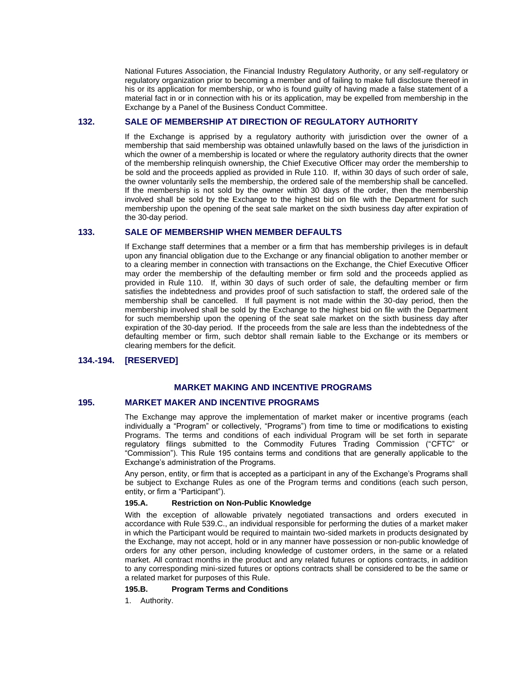National Futures Association, the Financial Industry Regulatory Authority, or any self-regulatory or regulatory organization prior to becoming a member and of failing to make full disclosure thereof in his or its application for membership, or who is found guilty of having made a false statement of a material fact in or in connection with his or its application, may be expelled from membership in the Exchange by a Panel of the Business Conduct Committee.

# **132. SALE OF MEMBERSHIP AT DIRECTION OF REGULATORY AUTHORITY**

If the Exchange is apprised by a regulatory authority with jurisdiction over the owner of a membership that said membership was obtained unlawfully based on the laws of the jurisdiction in which the owner of a membership is located or where the regulatory authority directs that the owner of the membership relinquish ownership, the Chief Executive Officer may order the membership to be sold and the proceeds applied as provided in Rule 110. If, within 30 days of such order of sale, the owner voluntarily sells the membership, the ordered sale of the membership shall be cancelled. If the membership is not sold by the owner within 30 days of the order, then the membership involved shall be sold by the Exchange to the highest bid on file with the Department for such membership upon the opening of the seat sale market on the sixth business day after expiration of the 30-day period.

# **133. SALE OF MEMBERSHIP WHEN MEMBER DEFAULTS**

If Exchange staff determines that a member or a firm that has membership privileges is in default upon any financial obligation due to the Exchange or any financial obligation to another member or to a clearing member in connection with transactions on the Exchange, the Chief Executive Officer may order the membership of the defaulting member or firm sold and the proceeds applied as provided in Rule 110. If, within 30 days of such order of sale, the defaulting member or firm satisfies the indebtedness and provides proof of such satisfaction to staff, the ordered sale of the membership shall be cancelled. If full payment is not made within the 30-day period, then the membership involved shall be sold by the Exchange to the highest bid on file with the Department for such membership upon the opening of the seat sale market on the sixth business day after expiration of the 30-day period. If the proceeds from the sale are less than the indebtedness of the defaulting member or firm, such debtor shall remain liable to the Exchange or its members or clearing members for the deficit.

# **134.-194. [RESERVED]**

# **MARKET MAKING AND INCENTIVE PROGRAMS**

# **195. MARKET MAKER AND INCENTIVE PROGRAMS**

The Exchange may approve the implementation of market maker or incentive programs (each individually a "Program" or collectively, "Programs") from time to time or modifications to existing Programs. The terms and conditions of each individual Program will be set forth in separate regulatory filings submitted to the Commodity Futures Trading Commission ("CFTC" or "Commission"). This Rule 195 contains terms and conditions that are generally applicable to the Exchange's administration of the Programs.

Any person, entity, or firm that is accepted as a participant in any of the Exchange's Programs shall be subject to Exchange Rules as one of the Program terms and conditions (each such person, entity, or firm a "Participant").

### **195.A. Restriction on Non-Public Knowledge**

With the exception of allowable privately negotiated transactions and orders executed in accordance with Rule 539.C., an individual responsible for performing the duties of a market maker in which the Participant would be required to maintain two-sided markets in products designated by the Exchange, may not accept, hold or in any manner have possession or non-public knowledge of orders for any other person, including knowledge of customer orders, in the same or a related market. All contract months in the product and any related futures or options contracts, in addition to any corresponding mini-sized futures or options contracts shall be considered to be the same or a related market for purposes of this Rule.

### **195.B. Program Terms and Conditions**

1. Authority.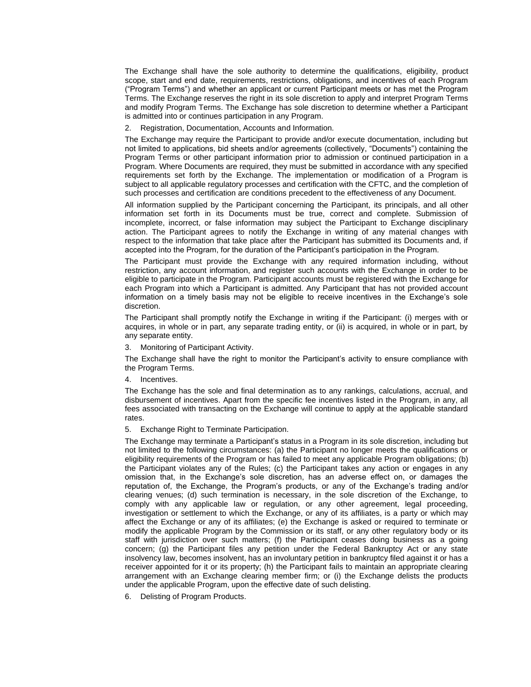The Exchange shall have the sole authority to determine the qualifications, eligibility, product scope, start and end date, requirements, restrictions, obligations, and incentives of each Program ("Program Terms") and whether an applicant or current Participant meets or has met the Program Terms. The Exchange reserves the right in its sole discretion to apply and interpret Program Terms and modify Program Terms. The Exchange has sole discretion to determine whether a Participant is admitted into or continues participation in any Program.

2. Registration, Documentation, Accounts and Information.

The Exchange may require the Participant to provide and/or execute documentation, including but not limited to applications, bid sheets and/or agreements (collectively, "Documents") containing the Program Terms or other participant information prior to admission or continued participation in a Program. Where Documents are required, they must be submitted in accordance with any specified requirements set forth by the Exchange. The implementation or modification of a Program is subject to all applicable regulatory processes and certification with the CFTC, and the completion of such processes and certification are conditions precedent to the effectiveness of any Document.

All information supplied by the Participant concerning the Participant, its principals, and all other information set forth in its Documents must be true, correct and complete. Submission of incomplete, incorrect, or false information may subject the Participant to Exchange disciplinary action. The Participant agrees to notify the Exchange in writing of any material changes with respect to the information that take place after the Participant has submitted its Documents and, if accepted into the Program, for the duration of the Participant's participation in the Program.

The Participant must provide the Exchange with any required information including, without restriction, any account information, and register such accounts with the Exchange in order to be eligible to participate in the Program. Participant accounts must be registered with the Exchange for each Program into which a Participant is admitted. Any Participant that has not provided account information on a timely basis may not be eligible to receive incentives in the Exchange's sole discretion.

The Participant shall promptly notify the Exchange in writing if the Participant: (i) merges with or acquires, in whole or in part, any separate trading entity, or (ii) is acquired, in whole or in part, by any separate entity.

3. Monitoring of Participant Activity.

The Exchange shall have the right to monitor the Participant's activity to ensure compliance with the Program Terms.

4. Incentives.

The Exchange has the sole and final determination as to any rankings, calculations, accrual, and disbursement of incentives. Apart from the specific fee incentives listed in the Program, in any, all fees associated with transacting on the Exchange will continue to apply at the applicable standard rates.

5. Exchange Right to Terminate Participation.

The Exchange may terminate a Participant's status in a Program in its sole discretion, including but not limited to the following circumstances: (a) the Participant no longer meets the qualifications or eligibility requirements of the Program or has failed to meet any applicable Program obligations; (b) the Participant violates any of the Rules; (c) the Participant takes any action or engages in any omission that, in the Exchange's sole discretion, has an adverse effect on, or damages the reputation of, the Exchange, the Program's products, or any of the Exchange's trading and/or clearing venues; (d) such termination is necessary, in the sole discretion of the Exchange, to comply with any applicable law or regulation, or any other agreement, legal proceeding, investigation or settlement to which the Exchange, or any of its affiliates, is a party or which may affect the Exchange or any of its affiliates; (e) the Exchange is asked or required to terminate or modify the applicable Program by the Commission or its staff, or any other regulatory body or its staff with jurisdiction over such matters; (f) the Participant ceases doing business as a going concern; (g) the Participant files any petition under the Federal Bankruptcy Act or any state insolvency law, becomes insolvent, has an involuntary petition in bankruptcy filed against it or has a receiver appointed for it or its property; (h) the Participant fails to maintain an appropriate clearing arrangement with an Exchange clearing member firm; or (i) the Exchange delists the products under the applicable Program, upon the effective date of such delisting.

6. Delisting of Program Products.